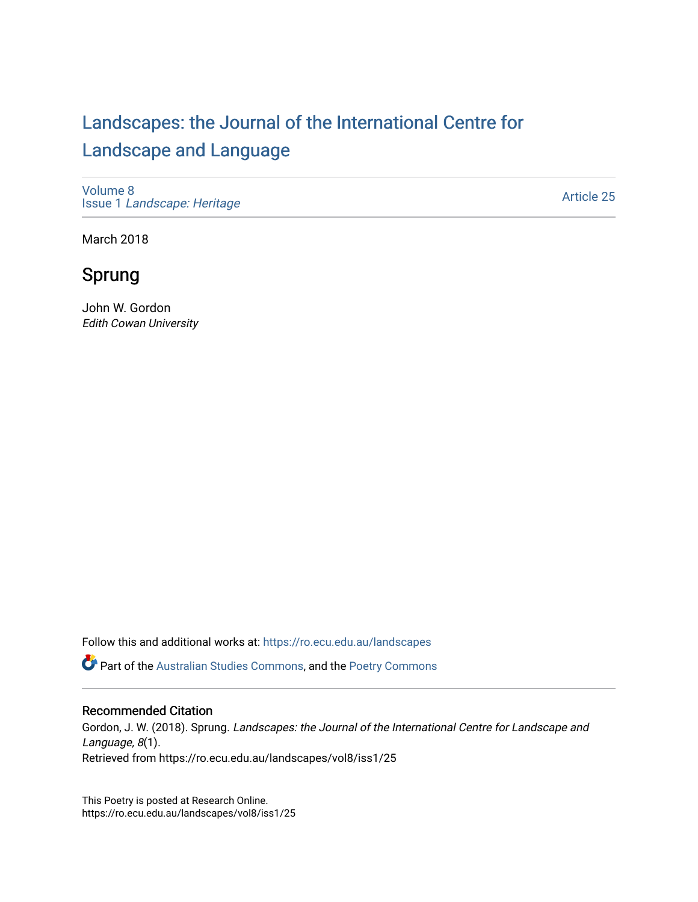# [Landscapes: the Journal of the International Centre for](https://ro.ecu.edu.au/landscapes) [Landscape and Language](https://ro.ecu.edu.au/landscapes)

[Volume 8](https://ro.ecu.edu.au/landscapes/vol8) Issue 1 [Landscape: Heritage](https://ro.ecu.edu.au/landscapes/vol8/iss1)

[Article 25](https://ro.ecu.edu.au/landscapes/vol8/iss1/25) 

March 2018

# Sprung

John W. Gordon Edith Cowan University

Follow this and additional works at: [https://ro.ecu.edu.au/landscapes](https://ro.ecu.edu.au/landscapes?utm_source=ro.ecu.edu.au%2Flandscapes%2Fvol8%2Fiss1%2F25&utm_medium=PDF&utm_campaign=PDFCoverPages) 

Part of the [Australian Studies Commons](http://network.bepress.com/hgg/discipline/1020?utm_source=ro.ecu.edu.au%2Flandscapes%2Fvol8%2Fiss1%2F25&utm_medium=PDF&utm_campaign=PDFCoverPages), and the [Poetry Commons](http://network.bepress.com/hgg/discipline/1153?utm_source=ro.ecu.edu.au%2Flandscapes%2Fvol8%2Fiss1%2F25&utm_medium=PDF&utm_campaign=PDFCoverPages) 

#### Recommended Citation

Gordon, J. W. (2018). Sprung. Landscapes: the Journal of the International Centre for Landscape and Language, 8(1). Retrieved from https://ro.ecu.edu.au/landscapes/vol8/iss1/25

This Poetry is posted at Research Online. https://ro.ecu.edu.au/landscapes/vol8/iss1/25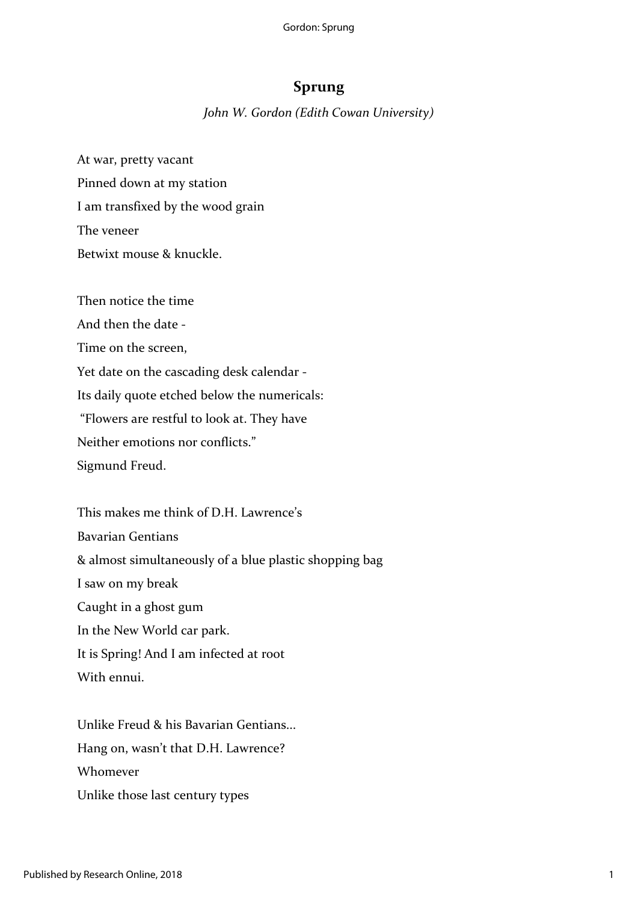## **Sprung**

*John W. Gordon (Edith Cowan University)*

At war, pretty vacant Pinned down at my station I am transfixed by the wood grain The veneer Betwixt mouse & knuckle.

Then notice the time And then the date - Time on the screen, Yet date on the cascading desk calendar - Its daily quote etched below the numericals: "Flowers are restful to look at. They have Neither emotions nor conflicts." Sigmund Freud.

This makes me think of D.H. Lawrence's Bavarian Gentians & almost simultaneously of a blue plastic shopping bag I saw on my break Caught in a ghost gum In the New World car park. It is Spring! And I am infected at root With ennui.

Unlike Freud & his Bavarian Gentians... Hang on, wasn't that D.H. Lawrence? Whomever Unlike those last century types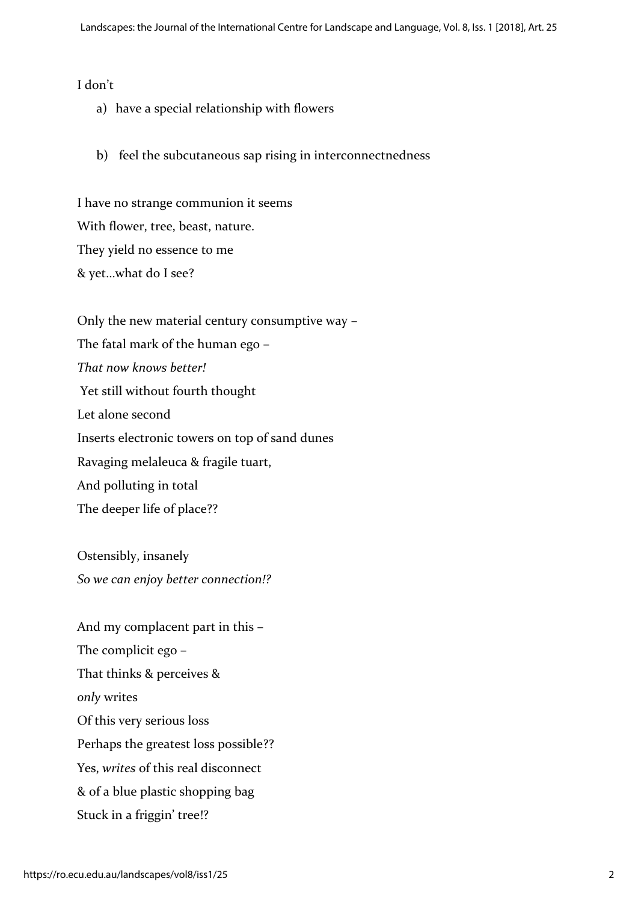### I don't

- a) have a special relationship with flowers
- b) feel the subcutaneous sap rising in interconnectnedness

I have no strange communion it seems With flower, tree, beast, nature. They yield no essence to me & yet…what do I see?

Only the new material century consumptive way – The fatal mark of the human ego – *That now knows better!* Yet still without fourth thought Let alone second Inserts electronic towers on top of sand dunes Ravaging melaleuca & fragile tuart, And polluting in total The deeper life of place??

Ostensibly, insanely *So we can enjoy better connection!?*

And my complacent part in this – The complicit ego – That thinks & perceives & *only* writes Of this very serious loss Perhaps the greatest loss possible?? Yes, *writes* of this real disconnect & of a blue plastic shopping bag Stuck in a friggin' tree!?